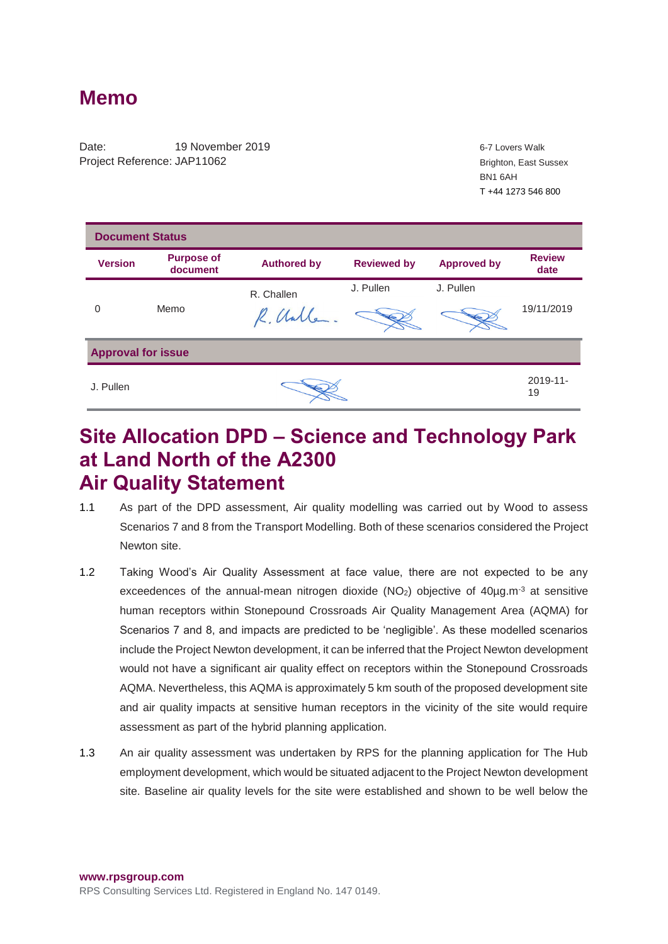## **Memo**

Date: 19 November 2019 **19 November 2019** 6-7 Lovers Walk Project Reference: JAP11062

Brighton, East Sussex BN1 6AH T +44 1273 546 800

| <b>Document Status</b>    |                               |                    |                    |                    |                       |
|---------------------------|-------------------------------|--------------------|--------------------|--------------------|-----------------------|
| <b>Version</b>            | <b>Purpose of</b><br>document | <b>Authored by</b> | <b>Reviewed by</b> | <b>Approved by</b> | <b>Review</b><br>date |
|                           |                               | R. Challen         | J. Pullen          | J. Pullen          |                       |
| $\Omega$                  | Memo                          | R. Unlle.          |                    |                    | 19/11/2019            |
| <b>Approval for issue</b> |                               |                    |                    |                    |                       |
| J. Pullen                 |                               |                    |                    |                    | $2019 - 11$<br>19     |

## **Site Allocation DPD – Science and Technology Park at Land North of the A2300 Air Quality Statement**

- 1.1 As part of the DPD assessment, Air quality modelling was carried out by Wood to assess Scenarios 7 and 8 from the Transport Modelling. Both of these scenarios considered the Project Newton site.
- 1.2 Taking Wood's Air Quality Assessment at face value, there are not expected to be any exceedences of the annual-mean nitrogen dioxide  $(NO<sub>2</sub>)$  objective of  $40\mu g.m^{-3}$  at sensitive human receptors within Stonepound Crossroads Air Quality Management Area (AQMA) for Scenarios 7 and 8, and impacts are predicted to be 'negligible'. As these modelled scenarios include the Project Newton development, it can be inferred that the Project Newton development would not have a significant air quality effect on receptors within the Stonepound Crossroads AQMA. Nevertheless, this AQMA is approximately 5 km south of the proposed development site and air quality impacts at sensitive human receptors in the vicinity of the site would require assessment as part of the hybrid planning application.
- 1.3 An air quality assessment was undertaken by RPS for the planning application for The Hub employment development, which would be situated adjacent to the Project Newton development site. Baseline air quality levels for the site were established and shown to be well below the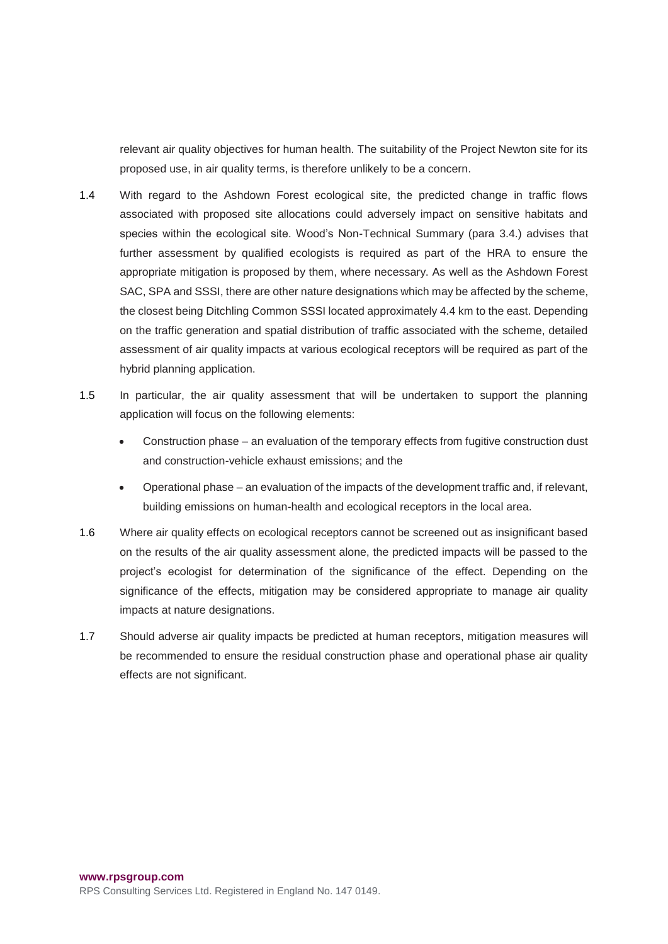relevant air quality objectives for human health. The suitability of the Project Newton site for its proposed use, in air quality terms, is therefore unlikely to be a concern.

- 1.4 With regard to the Ashdown Forest ecological site, the predicted change in traffic flows associated with proposed site allocations could adversely impact on sensitive habitats and species within the ecological site. Wood's Non-Technical Summary (para 3.4.) advises that further assessment by qualified ecologists is required as part of the HRA to ensure the appropriate mitigation is proposed by them, where necessary. As well as the Ashdown Forest SAC, SPA and SSSI, there are other nature designations which may be affected by the scheme, the closest being Ditchling Common SSSI located approximately 4.4 km to the east. Depending on the traffic generation and spatial distribution of traffic associated with the scheme, detailed assessment of air quality impacts at various ecological receptors will be required as part of the hybrid planning application.
- 1.5 In particular, the air quality assessment that will be undertaken to support the planning application will focus on the following elements:
	- Construction phase an evaluation of the temporary effects from fugitive construction dust and construction-vehicle exhaust emissions; and the
	- Operational phase an evaluation of the impacts of the development traffic and, if relevant, building emissions on human-health and ecological receptors in the local area.
- 1.6 Where air quality effects on ecological receptors cannot be screened out as insignificant based on the results of the air quality assessment alone, the predicted impacts will be passed to the project's ecologist for determination of the significance of the effect. Depending on the significance of the effects, mitigation may be considered appropriate to manage air quality impacts at nature designations.
- 1.7 Should adverse air quality impacts be predicted at human receptors, mitigation measures will be recommended to ensure the residual construction phase and operational phase air quality effects are not significant.